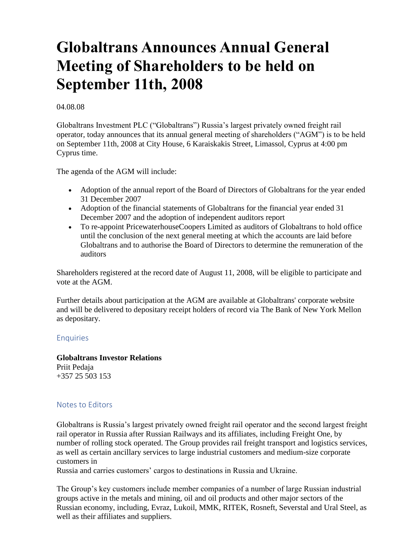# **Globaltrans Announces Annual General Meeting of Shareholders to be held on September 11th, 2008**

### 04.08.08

Globaltrans Investment PLC ("Globaltrans") Russia's largest privately owned freight rail operator, today announces that its annual general meeting of shareholders ("AGM") is to be held on September 11th, 2008 at City House, 6 Karaiskakis Street, Limassol, Cyprus at 4:00 pm Cyprus time.

The agenda of the AGM will include:

- Adoption of the annual report of the Board of Directors of Globaltrans for the year ended 31 December 2007
- Adoption of the financial statements of Globaltrans for the financial year ended 31 December 2007 and the adoption of independent auditors report
- To re-appoint PricewaterhouseCoopers Limited as auditors of Globaltrans to hold office until the conclusion of the next general meeting at which the accounts are laid before Globaltrans and to authorise the Board of Directors to determine the remuneration of the auditors

Shareholders registered at the record date of August 11, 2008, will be eligible to participate and vote at the AGM.

Further details about participation at the AGM are available at Globaltrans' corporate website and will be delivered to depositary receipt holders of record via The Bank of New York Mellon as depositary.

# Enquiries

### **Globaltrans Investor Relations**

Priit Pedaja +357 25 503 153

# Notes to Editors

Globaltrans is Russia's largest privately owned freight rail operator and the second largest freight rail operator in Russia after Russian Railways and its affiliates, including Freight One, by number of rolling stock operated. The Group provides rail freight transport and logistics services, as well as certain ancillary services to large industrial customers and medium-size corporate customers in

Russia and carries customers' cargos to destinations in Russia and Ukraine.

The Group's key customers include member companies of a number of large Russian industrial groups active in the metals and mining, oil and oil products and other major sectors of the Russian economy, including, Evraz, Lukoil, MMK, RITEK, Rosneft, Severstal and Ural Steel, as well as their affiliates and suppliers.